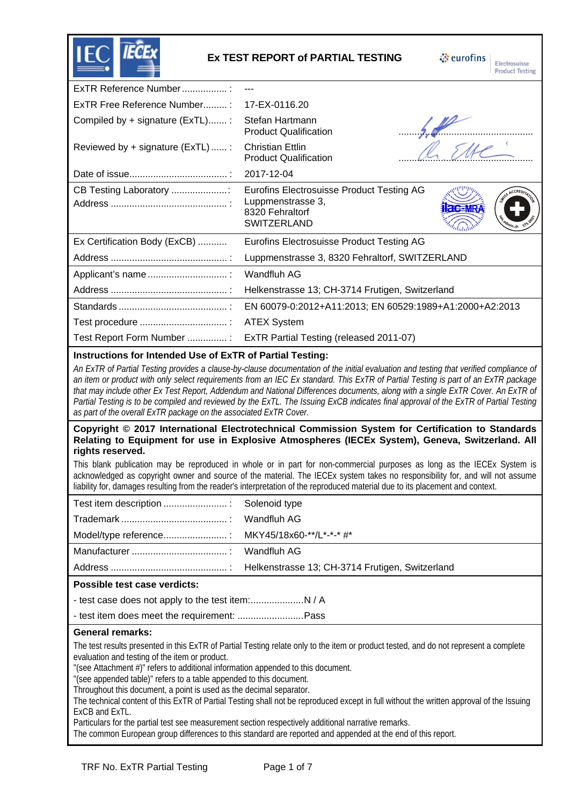

## **Ex TEST REPORT of PARTIAL TESTING**

eurofins Electrosuisse

| ExTR Reference Number:                                                                                                                                                                                                                                                                                                                                                                                                                                                                                                                                                                                                                                                                                                                                                                                        |                                                                                                                                                                                                                                                                                                                                                                                                                                                                                                                                                       |  |  |  |
|---------------------------------------------------------------------------------------------------------------------------------------------------------------------------------------------------------------------------------------------------------------------------------------------------------------------------------------------------------------------------------------------------------------------------------------------------------------------------------------------------------------------------------------------------------------------------------------------------------------------------------------------------------------------------------------------------------------------------------------------------------------------------------------------------------------|-------------------------------------------------------------------------------------------------------------------------------------------------------------------------------------------------------------------------------------------------------------------------------------------------------------------------------------------------------------------------------------------------------------------------------------------------------------------------------------------------------------------------------------------------------|--|--|--|
| ExTR Free Reference Number:                                                                                                                                                                                                                                                                                                                                                                                                                                                                                                                                                                                                                                                                                                                                                                                   | 17-EX-0116.20                                                                                                                                                                                                                                                                                                                                                                                                                                                                                                                                         |  |  |  |
| Compiled by + signature (ExTL):                                                                                                                                                                                                                                                                                                                                                                                                                                                                                                                                                                                                                                                                                                                                                                               | Stefan Hartmann<br>$\frac{64}{\sqrt{25}}$<br><b>Product Qualification</b>                                                                                                                                                                                                                                                                                                                                                                                                                                                                             |  |  |  |
| Reviewed by + signature (ExTL)  :                                                                                                                                                                                                                                                                                                                                                                                                                                                                                                                                                                                                                                                                                                                                                                             | <b>Christian Ettlin</b><br><b>Product Qualification</b>                                                                                                                                                                                                                                                                                                                                                                                                                                                                                               |  |  |  |
|                                                                                                                                                                                                                                                                                                                                                                                                                                                                                                                                                                                                                                                                                                                                                                                                               | 2017-12-04                                                                                                                                                                                                                                                                                                                                                                                                                                                                                                                                            |  |  |  |
| CB Testing Laboratory                                                                                                                                                                                                                                                                                                                                                                                                                                                                                                                                                                                                                                                                                                                                                                                         | <b>Eurofins Electrosuisse Product Testing AG</b><br>Luppmenstrasse 3,<br><b>Hac=MRA</b><br>8320 Fehraltorf<br>SWITZERLAND                                                                                                                                                                                                                                                                                                                                                                                                                             |  |  |  |
| Ex Certification Body (ExCB)                                                                                                                                                                                                                                                                                                                                                                                                                                                                                                                                                                                                                                                                                                                                                                                  | Eurofins Electrosuisse Product Testing AG                                                                                                                                                                                                                                                                                                                                                                                                                                                                                                             |  |  |  |
|                                                                                                                                                                                                                                                                                                                                                                                                                                                                                                                                                                                                                                                                                                                                                                                                               | Luppmenstrasse 3, 8320 Fehraltorf, SWITZERLAND                                                                                                                                                                                                                                                                                                                                                                                                                                                                                                        |  |  |  |
| Applicant's name                                                                                                                                                                                                                                                                                                                                                                                                                                                                                                                                                                                                                                                                                                                                                                                              | <b>Wandfluh AG</b>                                                                                                                                                                                                                                                                                                                                                                                                                                                                                                                                    |  |  |  |
|                                                                                                                                                                                                                                                                                                                                                                                                                                                                                                                                                                                                                                                                                                                                                                                                               | Helkenstrasse 13; CH-3714 Frutigen, Switzerland                                                                                                                                                                                                                                                                                                                                                                                                                                                                                                       |  |  |  |
|                                                                                                                                                                                                                                                                                                                                                                                                                                                                                                                                                                                                                                                                                                                                                                                                               | EN 60079-0:2012+A11:2013; EN 60529:1989+A1:2000+A2:2013                                                                                                                                                                                                                                                                                                                                                                                                                                                                                               |  |  |  |
|                                                                                                                                                                                                                                                                                                                                                                                                                                                                                                                                                                                                                                                                                                                                                                                                               | <b>ATEX System</b>                                                                                                                                                                                                                                                                                                                                                                                                                                                                                                                                    |  |  |  |
| Test Report Form Number :                                                                                                                                                                                                                                                                                                                                                                                                                                                                                                                                                                                                                                                                                                                                                                                     | ExTR Partial Testing (released 2011-07)                                                                                                                                                                                                                                                                                                                                                                                                                                                                                                               |  |  |  |
| Instructions for Intended Use of ExTR of Partial Testing:                                                                                                                                                                                                                                                                                                                                                                                                                                                                                                                                                                                                                                                                                                                                                     |                                                                                                                                                                                                                                                                                                                                                                                                                                                                                                                                                       |  |  |  |
| as part of the overall ExTR package on the associated ExTR Cover.                                                                                                                                                                                                                                                                                                                                                                                                                                                                                                                                                                                                                                                                                                                                             | An ExTR of Partial Testing provides a clause-by-clause documentation of the initial evaluation and testing that verified compliance of<br>an item or product with only select requirements from an IEC Ex standard. This ExTR of Partial Testing is part of an ExTR package<br>that may include other Ex Test Report, Addendum and National Differences documents, along with a single ExTR Cover. An ExTR of<br>Partial Testing is to be compiled and reviewed by the ExTL. The Issuing ExCB indicates final approval of the ExTR of Partial Testing |  |  |  |
| rights reserved.                                                                                                                                                                                                                                                                                                                                                                                                                                                                                                                                                                                                                                                                                                                                                                                              | Copyright © 2017 International Electrotechnical Commission System for Certification to Standards<br>Relating to Equipment for use in Explosive Atmospheres (IECEx System), Geneva, Switzerland. All                                                                                                                                                                                                                                                                                                                                                   |  |  |  |
|                                                                                                                                                                                                                                                                                                                                                                                                                                                                                                                                                                                                                                                                                                                                                                                                               | This blank publication may be reproduced in whole or in part for non-commercial purposes as long as the IECEx System is<br>acknowledged as copyright owner and source of the material. The IECEx system takes no responsibility for, and will not assume<br>liability for, damages resulting from the reader's interpretation of the reproduced material due to its placement and context.                                                                                                                                                            |  |  |  |
| Test item description  :                                                                                                                                                                                                                                                                                                                                                                                                                                                                                                                                                                                                                                                                                                                                                                                      | Solenoid type                                                                                                                                                                                                                                                                                                                                                                                                                                                                                                                                         |  |  |  |
|                                                                                                                                                                                                                                                                                                                                                                                                                                                                                                                                                                                                                                                                                                                                                                                                               | Wandfluh AG                                                                                                                                                                                                                                                                                                                                                                                                                                                                                                                                           |  |  |  |
| Model/type reference:                                                                                                                                                                                                                                                                                                                                                                                                                                                                                                                                                                                                                                                                                                                                                                                         | MKY45/18x60-**/L*-*-* #*                                                                                                                                                                                                                                                                                                                                                                                                                                                                                                                              |  |  |  |
|                                                                                                                                                                                                                                                                                                                                                                                                                                                                                                                                                                                                                                                                                                                                                                                                               | Wandfluh AG                                                                                                                                                                                                                                                                                                                                                                                                                                                                                                                                           |  |  |  |
|                                                                                                                                                                                                                                                                                                                                                                                                                                                                                                                                                                                                                                                                                                                                                                                                               | Helkenstrasse 13; CH-3714 Frutigen, Switzerland                                                                                                                                                                                                                                                                                                                                                                                                                                                                                                       |  |  |  |
| Possible test case verdicts:                                                                                                                                                                                                                                                                                                                                                                                                                                                                                                                                                                                                                                                                                                                                                                                  |                                                                                                                                                                                                                                                                                                                                                                                                                                                                                                                                                       |  |  |  |
|                                                                                                                                                                                                                                                                                                                                                                                                                                                                                                                                                                                                                                                                                                                                                                                                               |                                                                                                                                                                                                                                                                                                                                                                                                                                                                                                                                                       |  |  |  |
|                                                                                                                                                                                                                                                                                                                                                                                                                                                                                                                                                                                                                                                                                                                                                                                                               |                                                                                                                                                                                                                                                                                                                                                                                                                                                                                                                                                       |  |  |  |
| <b>General remarks:</b>                                                                                                                                                                                                                                                                                                                                                                                                                                                                                                                                                                                                                                                                                                                                                                                       |                                                                                                                                                                                                                                                                                                                                                                                                                                                                                                                                                       |  |  |  |
| The test results presented in this ExTR of Partial Testing relate only to the item or product tested, and do not represent a complete<br>evaluation and testing of the item or product.<br>"(see Attachment #)" refers to additional information appended to this document.<br>"(see appended table)" refers to a table appended to this document.<br>Throughout this document, a point is used as the decimal separator.<br>The technical content of this ExTR of Partial Testing shall not be reproduced except in full without the written approval of the Issuing<br>ExCB and ExTL.<br>Particulars for the partial test see measurement section respectively additional narrative remarks.<br>The common European group differences to this standard are reported and appended at the end of this report. |                                                                                                                                                                                                                                                                                                                                                                                                                                                                                                                                                       |  |  |  |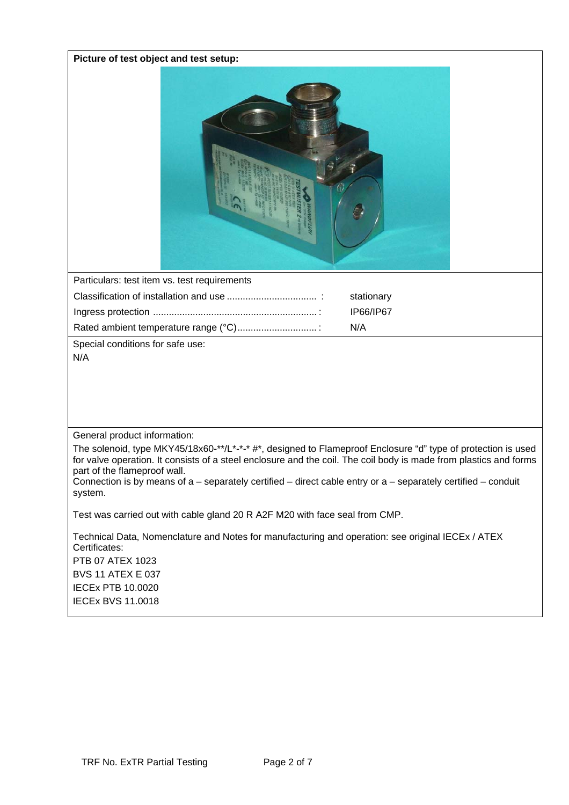## **Picture of test object and test setup:**



| Particulars: test item vs. test requirements |            |
|----------------------------------------------|------------|
|                                              | stationary |
|                                              | IP66/IP67  |
|                                              | N/A        |
|                                              |            |

Special conditions for safe use: N/A

General product information:

The solenoid, type MKY45/18x60-\*\*/L\*-\*-\* #\*, designed to Flameproof Enclosure "d" type of protection is used for valve operation. It consists of a steel enclosure and the coil. The coil body is made from plastics and forms part of the flameproof wall.

Connection is by means of a – separately certified – direct cable entry or a – separately certified – conduit system.

Test was carried out with cable gland 20 R A2F M20 with face seal from CMP.

Technical Data, Nomenclature and Notes for manufacturing and operation: see original IECEx / ATEX Certificates: PTB 07 ATEX 1023 BVS 11 ATEX E 037 IECEx PTB 10.0020 IECEx BVS 11.0018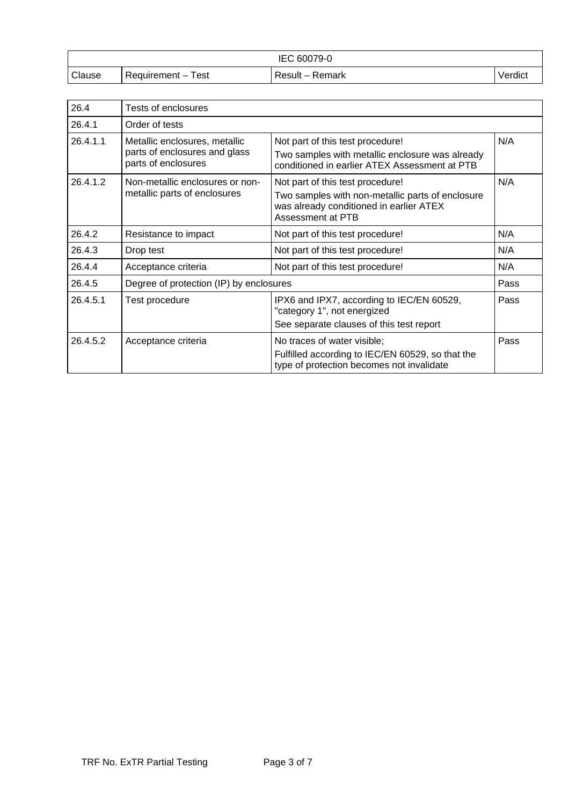| IEC 60079-0 |                      |                      |         |
|-------------|----------------------|----------------------|---------|
| Clause      | Requirement-<br>Test | $Result -$<br>Remark | Verdict |

| 26.4                                        | Tests of enclosures                                  |                                                                                                                              |      |
|---------------------------------------------|------------------------------------------------------|------------------------------------------------------------------------------------------------------------------------------|------|
| 26.4.1                                      | Order of tests                                       |                                                                                                                              |      |
| 26.4.1.1                                    | Metallic enclosures, metallic                        | Not part of this test procedure!                                                                                             | N/A  |
|                                             | parts of enclosures and glass<br>parts of enclosures | Two samples with metallic enclosure was already<br>conditioned in earlier ATEX Assessment at PTB                             |      |
| 26.4.1.2<br>Non-metallic enclosures or non- | Not part of this test procedure!                     | N/A                                                                                                                          |      |
|                                             | metallic parts of enclosures                         | Two samples with non-metallic parts of enclosure<br>was already conditioned in earlier ATEX<br>Assessment at PTB             |      |
| 26.4.2                                      | Resistance to impact                                 | Not part of this test procedure!                                                                                             | N/A  |
| 26.4.3                                      | Drop test                                            | Not part of this test procedure!                                                                                             | N/A  |
| 26.4.4                                      | Acceptance criteria                                  | Not part of this test procedure!                                                                                             | N/A  |
| 26.4.5                                      | Degree of protection (IP) by enclosures              |                                                                                                                              | Pass |
| 26.4.5.1                                    | Test procedure                                       | IPX6 and IPX7, according to IEC/EN 60529,<br>"category 1", not energized<br>See separate clauses of this test report         | Pass |
| 26.4.5.2                                    | Acceptance criteria                                  | No traces of water visible;<br>Fulfilled according to IEC/EN 60529, so that the<br>type of protection becomes not invalidate | Pass |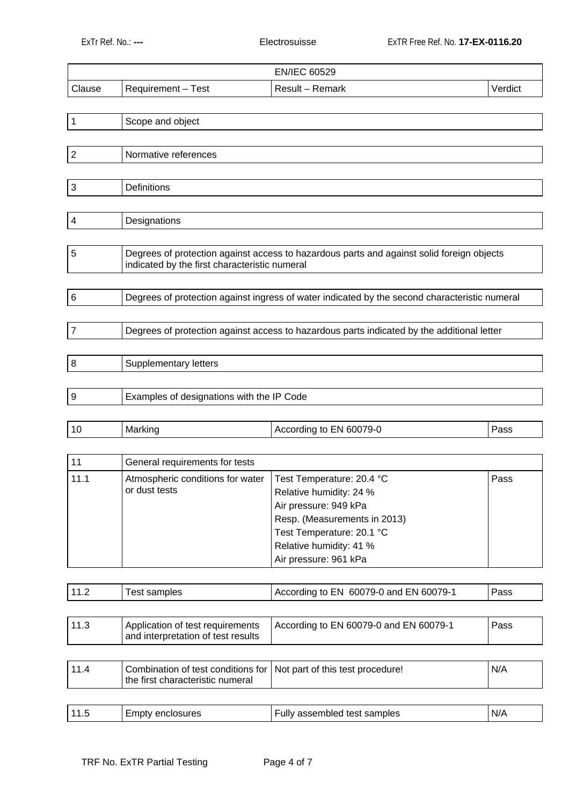|        |                     | <b>EN/IEC 60529</b> |         |
|--------|---------------------|---------------------|---------|
| Clause | Requirement – Test_ | Result – Remark     | Verdict |

| 1              | Scope and object                                                                                                                           |
|----------------|--------------------------------------------------------------------------------------------------------------------------------------------|
|                |                                                                                                                                            |
| $\overline{2}$ | Normative references                                                                                                                       |
|                |                                                                                                                                            |
| $\mathbf{3}$   | Definitions                                                                                                                                |
|                |                                                                                                                                            |
| 4              | Designations                                                                                                                               |
|                |                                                                                                                                            |
| 5              | Degrees of protection against access to hazardous parts and against solid foreign objects<br>indicated by the first characteristic numeral |
|                |                                                                                                                                            |
| $\,6$          | Degrees of protection against ingress of water indicated by the second characteristic numeral                                              |
|                |                                                                                                                                            |
| $\overline{7}$ | Degrees of protection against access to hazardous parts indicated by the additional letter                                                 |
|                |                                                                                                                                            |
| 8              | Supplementary letters                                                                                                                      |
|                |                                                                                                                                            |
| 9              | Examples of designations with the IP Code                                                                                                  |

| -------<br>л<br>1171<br>. | 79-L<br>600<br>EN<br><br>11 I 10<br>τoι<br>- - | ass |
|---------------------------|------------------------------------------------|-----|
|---------------------------|------------------------------------------------|-----|

| 11   | General requirements for tests                    |                                                                                                                                                                                                |      |
|------|---------------------------------------------------|------------------------------------------------------------------------------------------------------------------------------------------------------------------------------------------------|------|
| 11.1 | Atmospheric conditions for water<br>or dust tests | Test Temperature: 20.4 °C<br>Relative humidity: 24 %<br>Air pressure: 949 kPa<br>Resp. (Measurements in 2013)<br>Test Temperature: 20.1 °C<br>Relative humidity: 41 %<br>Air pressure: 961 kPa | Pass |

| 11.2 | est<br>samples | According to EN 60079-0 and EN 60079-1 | Pass |
|------|----------------|----------------------------------------|------|
|      |                |                                        |      |

| 11.3 | Application of test requirements<br>and interpretation of test results                                    | According to EN 60079-0 and EN 60079-1 | Pass |
|------|-----------------------------------------------------------------------------------------------------------|----------------------------------------|------|
|      |                                                                                                           |                                        |      |
| 11.4 | Combination of test conditions for   Not part of this test procedure!<br>the first characteristic numeral |                                        | N/A  |
|      |                                                                                                           |                                        |      |
| 11.5 | Empty enclosures                                                                                          | Fully assembled test samples           | N/A  |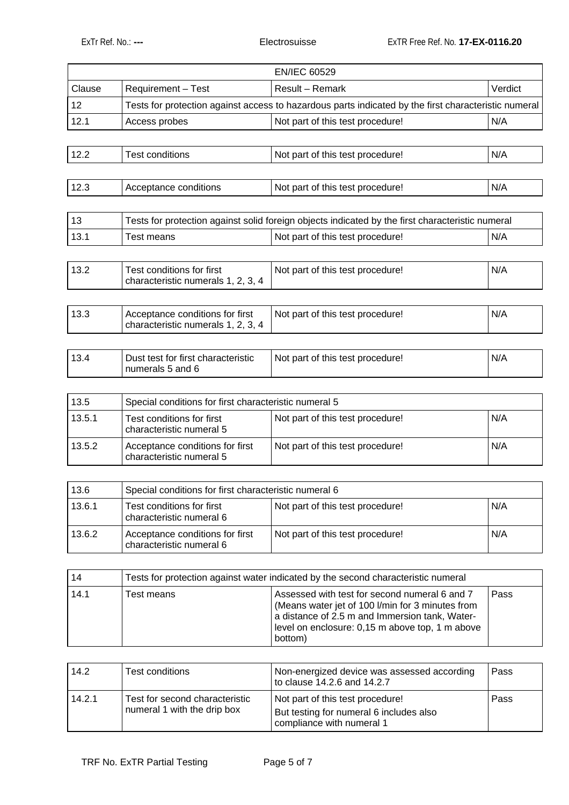|        |                                                                       | <b>EN/IEC 60529</b>                                                                                  |         |
|--------|-----------------------------------------------------------------------|------------------------------------------------------------------------------------------------------|---------|
| Clause | Requirement - Test                                                    | <b>Result - Remark</b>                                                                               | Verdict |
| 12     |                                                                       | Tests for protection against access to hazardous parts indicated by the first characteristic numeral |         |
| 12.1   | Access probes                                                         | Not part of this test procedure!                                                                     | N/A     |
| 12.2   | <b>Test conditions</b>                                                | Not part of this test procedure!                                                                     | N/A     |
| 12.3   | Acceptance conditions                                                 | Not part of this test procedure!                                                                     | N/A     |
| 13     |                                                                       | Tests for protection against solid foreign objects indicated by the first characteristic numeral     |         |
| 13.1   | <b>Test means</b>                                                     | Not part of this test procedure!                                                                     | N/A     |
| 13.2   | Test conditions for first<br>characteristic numerals 1, 2, 3, 4       | Not part of this test procedure!                                                                     | N/A     |
| 13.3   | Acceptance conditions for first<br>characteristic numerals 1, 2, 3, 4 | Not part of this test procedure!                                                                     | N/A     |
| 13.4   | Dust test for first characteristic<br>numerals 5 and 6                | Not part of this test procedure!                                                                     | N/A     |

| 13.5   | Special conditions for first characteristic numeral 5       |                                  |     |
|--------|-------------------------------------------------------------|----------------------------------|-----|
| 13.5.1 | Test conditions for first<br>characteristic numeral 5       | Not part of this test procedure! | N/A |
| 13.5.2 | Acceptance conditions for first<br>characteristic numeral 5 | Not part of this test procedure! | N/A |

| 13.6   | Special conditions for first characteristic numeral 6       |                                  |     |
|--------|-------------------------------------------------------------|----------------------------------|-----|
| 13.6.1 | Test conditions for first<br>characteristic numeral 6       | Not part of this test procedure! | N/A |
| 13.6.2 | Acceptance conditions for first<br>characteristic numeral 6 | Not part of this test procedure! | N/A |

| 14   | Tests for protection against water indicated by the second characteristic numeral |                                                                                                                                                                                                                   |      |
|------|-----------------------------------------------------------------------------------|-------------------------------------------------------------------------------------------------------------------------------------------------------------------------------------------------------------------|------|
| 14.1 | Test means                                                                        | Assessed with test for second numeral 6 and 7<br>(Means water jet of 100 I/min for 3 minutes from<br>a distance of 2.5 m and Immersion tank, Water-<br>level on enclosure: 0,15 m above top, 1 m above<br>bottom) | Pass |

| 14.2   | Test conditions                                               | Non-energized device was assessed according<br>to clause 14.2.6 and 14.2.7                               | Pass |
|--------|---------------------------------------------------------------|----------------------------------------------------------------------------------------------------------|------|
| 14.2.1 | Test for second characteristic<br>numeral 1 with the drip box | Not part of this test procedure!<br>But testing for numeral 6 includes also<br>compliance with numeral 1 | Pass |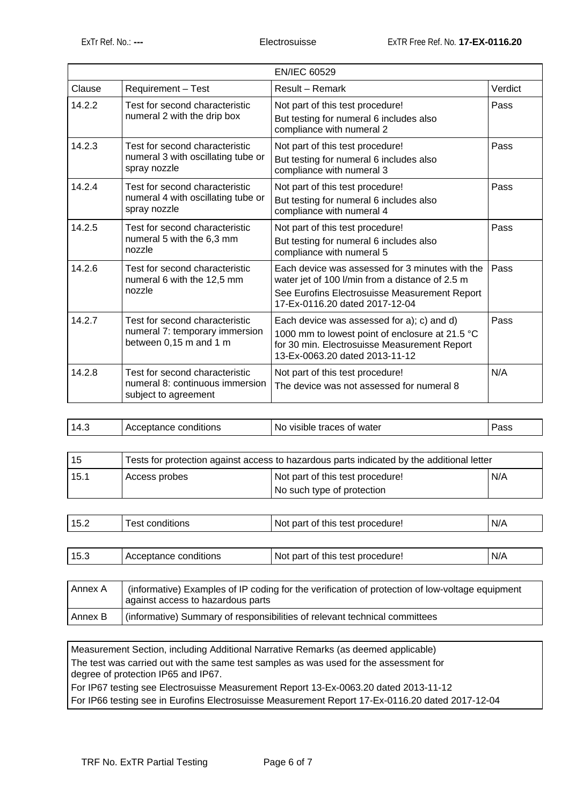|        |                                                                                            | <b>EN/IEC 60529</b>                                                                                                                                                                   |         |
|--------|--------------------------------------------------------------------------------------------|---------------------------------------------------------------------------------------------------------------------------------------------------------------------------------------|---------|
| Clause | Requirement - Test                                                                         | Result - Remark                                                                                                                                                                       | Verdict |
| 14.2.2 | Test for second characteristic<br>numeral 2 with the drip box                              | Not part of this test procedure!<br>But testing for numeral 6 includes also<br>compliance with numeral 2                                                                              | Pass    |
| 14.2.3 | Test for second characteristic<br>numeral 3 with oscillating tube or<br>spray nozzle       | Not part of this test procedure!<br>But testing for numeral 6 includes also<br>compliance with numeral 3                                                                              | Pass    |
| 14.2.4 | Test for second characteristic<br>numeral 4 with oscillating tube or<br>spray nozzle       | Not part of this test procedure!<br>But testing for numeral 6 includes also<br>compliance with numeral 4                                                                              | Pass    |
| 14.2.5 | Test for second characteristic<br>numeral 5 with the 6,3 mm<br>nozzle                      | Not part of this test procedure!<br>But testing for numeral 6 includes also<br>compliance with numeral 5                                                                              | Pass    |
| 14.2.6 | Test for second characteristic<br>numeral 6 with the 12,5 mm<br>nozzle                     | Each device was assessed for 3 minutes with the<br>water jet of 100 l/min from a distance of 2.5 m<br>See Eurofins Electrosuisse Measurement Report<br>17-Ex-0116.20 dated 2017-12-04 | Pass    |
| 14.2.7 | Test for second characteristic<br>numeral 7: temporary immersion<br>between 0,15 m and 1 m | Each device was assessed for a); c) and d)<br>1000 mm to lowest point of enclosure at 21.5 °C<br>for 30 min. Electrosuisse Measurement Report<br>13-Ex-0063.20 dated 2013-11-12       | Pass    |
| 14.2.8 | Test for second characteristic<br>numeral 8: continuous immersion<br>subject to agreement  | Not part of this test procedure!<br>The device was not assessed for numeral 8                                                                                                         | N/A     |

| 14<br>г. с | ∘ conditions<br>:eptance<br>- ACCC<br>. . | of water<br>traces<br>N0<br>visible | 'ass |
|------------|-------------------------------------------|-------------------------------------|------|

| 15   | Tests for protection against access to hazardous parts indicated by the additional letter |                                                                |     |
|------|-------------------------------------------------------------------------------------------|----------------------------------------------------------------|-----|
| 15.1 | Access probes                                                                             | Not part of this test procedure!<br>No such type of protection | N/A |
|      |                                                                                           |                                                                |     |
| 15.2 | Test conditions                                                                           | Not part of this test procedure!                               | N/A |

| 15.ప | Acceptance conditions | Not part of this test procedure! | N/A |
|------|-----------------------|----------------------------------|-----|
|      |                       |                                  |     |

| Annex A | (informative) Examples of IP coding for the verification of protection of low-voltage equipment<br>against access to hazardous parts |
|---------|--------------------------------------------------------------------------------------------------------------------------------------|
| Annex B | (informative) Summary of responsibilities of relevant technical committees                                                           |

Measurement Section, including Additional Narrative Remarks (as deemed applicable) The test was carried out with the same test samples as was used for the assessment for degree of protection IP65 and IP67. For IP67 testing see Electrosuisse Measurement Report 13-Ex-0063.20 dated 2013-11-12

For IP66 testing see in Eurofins Electrosuisse Measurement Report 17-Ex-0116.20 dated 2017-12-04